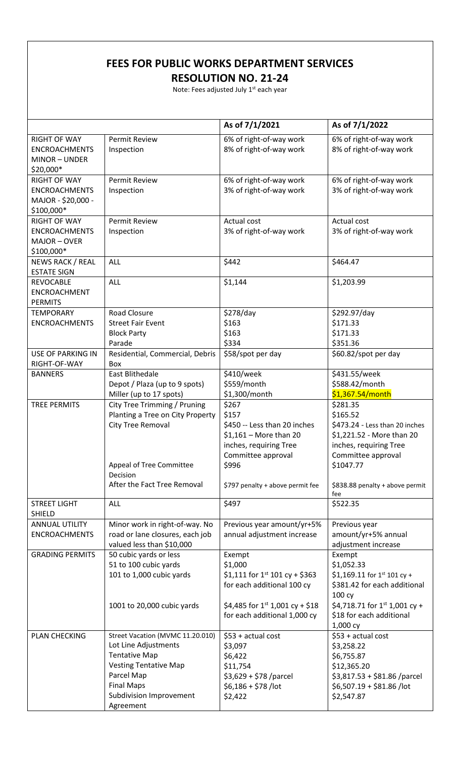## **FEES FOR PUBLIC WORKS DEPARTMENT SERVICES**

**RESOLUTION NO. 21-24**

Note: Fees adjusted July  $1<sup>st</sup>$  each year

|                                               |                                                                   | As of 7/1/2021                                           | As of 7/1/2022                       |
|-----------------------------------------------|-------------------------------------------------------------------|----------------------------------------------------------|--------------------------------------|
| <b>RIGHT OF WAY</b>                           | <b>Permit Review</b>                                              | 6% of right-of-way work                                  | 6% of right-of-way work              |
| <b>ENCROACHMENTS</b>                          | Inspection                                                        | 8% of right-of-way work                                  | 8% of right-of-way work              |
| MINOR-UNDER                                   |                                                                   |                                                          |                                      |
| \$20,000*                                     |                                                                   |                                                          |                                      |
| <b>RIGHT OF WAY</b>                           | <b>Permit Review</b>                                              | 6% of right-of-way work                                  | 6% of right-of-way work              |
| <b>ENCROACHMENTS</b>                          | Inspection                                                        | 3% of right-of-way work                                  | 3% of right-of-way work              |
| MAJOR - \$20,000 -                            |                                                                   |                                                          |                                      |
| \$100,000*                                    |                                                                   |                                                          |                                      |
| <b>RIGHT OF WAY</b>                           | <b>Permit Review</b>                                              | Actual cost                                              | Actual cost                          |
| <b>ENCROACHMENTS</b>                          | Inspection                                                        | 3% of right-of-way work                                  | 3% of right-of-way work              |
| MAJOR-OVER                                    |                                                                   |                                                          |                                      |
| \$100,000*                                    |                                                                   |                                                          |                                      |
| NEWS RACK / REAL                              | ALL                                                               | \$442                                                    | \$464.47                             |
| <b>ESTATE SIGN</b>                            |                                                                   |                                                          |                                      |
| <b>REVOCABLE</b>                              | ALL                                                               | \$1,144                                                  | \$1,203.99                           |
| ENCROACHMENT                                  |                                                                   |                                                          |                                      |
| <b>PERMITS</b>                                |                                                                   |                                                          |                                      |
| <b>TEMPORARY</b>                              | <b>Road Closure</b>                                               | \$278/day                                                | \$292.97/day                         |
| <b>ENCROACHMENTS</b>                          | <b>Street Fair Event</b>                                          | \$163                                                    | \$171.33                             |
|                                               | <b>Block Party</b>                                                | \$163                                                    | \$171.33                             |
|                                               | Parade                                                            | \$334                                                    | \$351.36                             |
| <b>USE OF PARKING IN</b><br>RIGHT-OF-WAY      | Residential, Commercial, Debris<br><b>Box</b>                     | \$58/spot per day                                        | \$60.82/spot per day                 |
| <b>BANNERS</b>                                | East Blithedale                                                   | \$410/week                                               | \$431.55/week                        |
|                                               | Depot / Plaza (up to 9 spots)                                     | \$559/month                                              | \$588.42/month                       |
|                                               | Miller (up to 17 spots)                                           | \$1,300/month                                            | \$1,367.54/month                     |
| <b>TREE PERMITS</b>                           | City Tree Trimming / Pruning                                      | \$267                                                    | \$281.35                             |
|                                               | Planting a Tree on City Property                                  | \$157                                                    | \$165.52                             |
|                                               | City Tree Removal                                                 | \$450 -- Less than 20 inches                             | \$473.24 - Less than 20 inches       |
|                                               |                                                                   | $$1,161 - More than 20$                                  | \$1,221.52 - More than 20            |
|                                               |                                                                   | inches, requiring Tree                                   | inches, requiring Tree               |
|                                               |                                                                   | Committee approval                                       | Committee approval                   |
|                                               | Appeal of Tree Committee                                          | \$996                                                    | \$1047.77                            |
|                                               | Decision                                                          |                                                          |                                      |
|                                               | After the Fact Tree Removal                                       | \$797 penalty + above permit fee                         | \$838.88 penalty + above permit      |
|                                               |                                                                   |                                                          | fee                                  |
| <b>STREET LIGHT</b>                           | <b>ALL</b>                                                        | \$497                                                    | \$522.35                             |
| <b>SHIELD</b>                                 |                                                                   |                                                          |                                      |
| <b>ANNUAL UTILITY</b><br><b>ENCROACHMENTS</b> | Minor work in right-of-way. No<br>road or lane closures, each job | Previous year amount/yr+5%<br>annual adjustment increase | Previous year<br>amount/yr+5% annual |
|                                               | valued less than \$10,000                                         |                                                          | adjustment increase                  |
| <b>GRADING PERMITS</b>                        | 50 cubic yards or less                                            | Exempt                                                   | Exempt                               |
|                                               | 51 to 100 cubic yards                                             | \$1,000                                                  | \$1,052.33                           |
|                                               | 101 to 1,000 cubic yards                                          | \$1,111 for $1^{st}$ 101 cy + \$363                      | $$1,169.11$ for 1st 101 cy +         |
|                                               |                                                                   | for each additional 100 cy                               | \$381.42 for each additional         |
|                                               |                                                                   |                                                          | 100 cy                               |
|                                               | 1001 to 20,000 cubic yards                                        | \$4,485 for $1^{st}$ 1,001 cy + \$18                     | \$4,718.71 for $1^{st}$ 1,001 cy +   |
|                                               |                                                                   | for each additional 1,000 cy                             | \$18 for each additional             |
|                                               |                                                                   |                                                          | 1,000 cy                             |
| PLAN CHECKING                                 | Street Vacation (MVMC 11.20.010)                                  | \$53 + actual cost                                       | \$53 + actual cost                   |
|                                               | Lot Line Adjustments                                              | \$3,097                                                  | \$3,258.22                           |
|                                               | <b>Tentative Map</b>                                              | \$6,422                                                  | \$6,755.87                           |
|                                               | <b>Vesting Tentative Map</b>                                      | \$11,754                                                 | \$12,365.20                          |
|                                               | Parcel Map                                                        | $$3,629 + $78$ /parcel                                   | $$3,817.53 + $81.86$ /parcel         |
|                                               | <b>Final Maps</b>                                                 | $$6,186 + $78$ /lot                                      | $$6,507.19 + $81.86$ /lot            |
|                                               | <b>Subdivision Improvement</b>                                    | \$2,422                                                  | \$2,547.87                           |
|                                               | Agreement                                                         |                                                          |                                      |